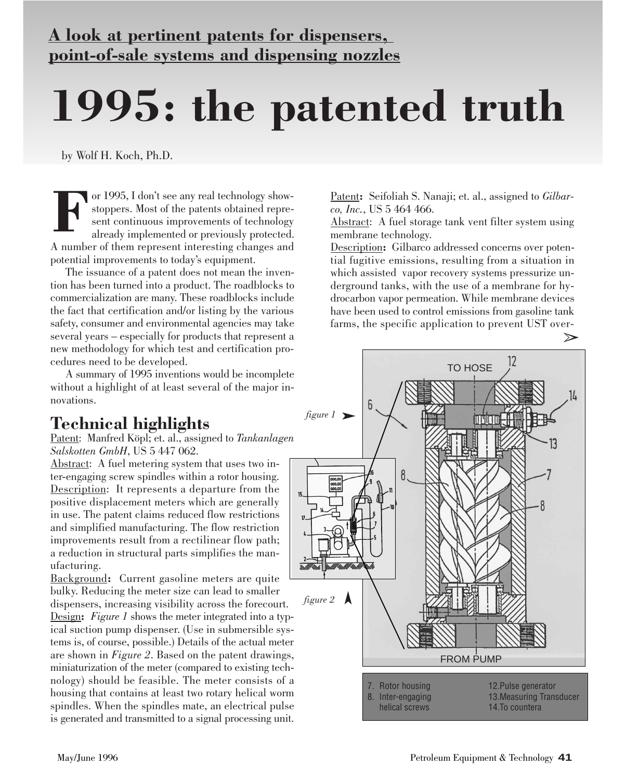## **A look at pertinent patents for dispensers, point-of-sale systems and dispensing nozzles**

# **1995: the patented truth**

by Wolf H. Koch, Ph.D.

or 1995, I don't see any real technology showstoppers. Most of the patents obtained represent continuous improvements of technology already implemented or previously protected. A number of them represent interesting changes and potential improvements to today's equipment. **F**

The issuance of a patent does not mean the invention has been turned into a product. The roadblocks to commercialization are many. These roadblocks include the fact that certification and/or listing by the various safety, consumer and environmental agencies may take several years – especially for products that represent a new methodology for which test and certification procedures need to be developed.

A summary of 1995 inventions would be incomplete without a highlight of at least several of the major innovations.

### **Technical highlights**

Patent: Manfred Köpl; et. al., assigned to *Tankanlagen Salskotten GmbH*, US 5 447 062.

Abstract: A fuel metering system that uses two inter-engaging screw spindles within a rotor housing. Description: It represents a departure from the positive displacement meters which are generally in use. The patent claims reduced flow restrictions and simplified manufacturing. The flow restriction improvements result from a rectilinear flow path; a reduction in structural parts simplifies the manufacturing.

Background**:** Current gasoline meters are quite bulky. Reducing the meter size can lead to smaller dispensers, increasing visibility across the forecourt. Design**:** *Figure 1* shows the meter integrated into a typical suction pump dispenser. (Use in submersible systems is, of course, possible.) Details of the actual meter are shown in *Figure 2*. Based on the patent drawings, miniaturization of the meter (compared to existing technology) should be feasible. The meter consists of a housing that contains at least two rotary helical worm spindles. When the spindles mate, an electrical pulse is generated and transmitted to a signal processing unit.

Patent**:** Seifoliah S. Nanaji; et. al., assigned to *Gilbarco, Inc.*, US 5 464 466.

Abstract: A fuel storage tank vent filter system using membrane technology.

Description**:** Gilbarco addressed concerns over potential fugitive emissions, resulting from a situation in which assisted vapor recovery systems pressurize underground tanks, with the use of a membrane for hydrocarbon vapor permeation. While membrane devices have been used to control emissions from gasoline tank farms, the specific application to prevent UST over-

 $\gg$ 

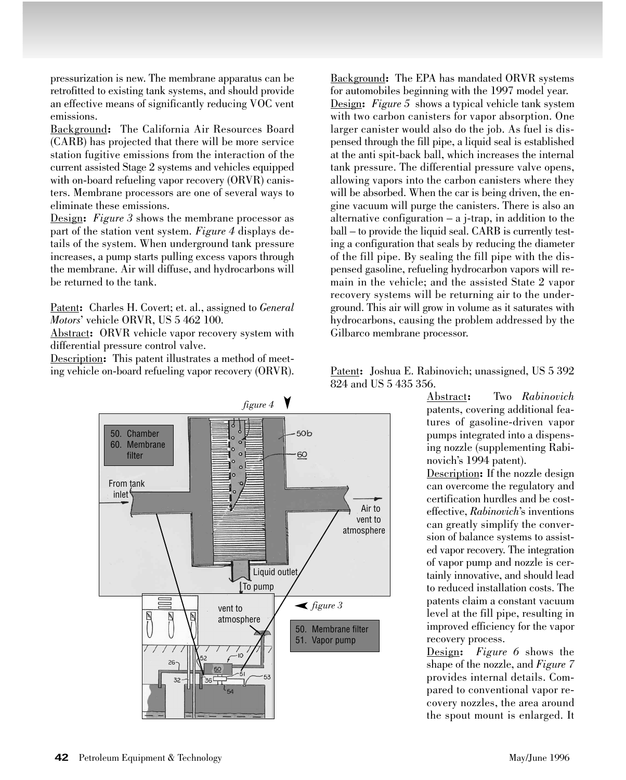pressurization is new. The membrane apparatus can be retrofitted to existing tank systems, and should provide an effective means of significantly reducing VOC vent emissions.

Background**:** The California Air Resources Board (CARB) has projected that there will be more service station fugitive emissions from the interaction of the current assisted Stage 2 systems and vehicles equipped with on-board refueling vapor recovery (ORVR) canisters. Membrane processors are one of several ways to eliminate these emissions.

Design**:** *Figure 3* shows the membrane processor as part of the station vent system. *Figure 4* displays details of the system. When underground tank pressure increases, a pump starts pulling excess vapors through the membrane. Air will diffuse, and hydrocarbons will be returned to the tank.

Patent**:** Charles H. Covert; et. al., assigned to *General Motors*' vehicle ORVR, US 5 462 100.

Abstract**:** ORVR vehicle vapor recovery system with differential pressure control valve.

Description**:** This patent illustrates a method of meeting vehicle on-board refueling vapor recovery (ORVR). Background**:** The EPA has mandated ORVR systems for automobiles beginning with the 1997 model year. Design**:** *Figure 5* shows a typical vehicle tank system with two carbon canisters for vapor absorption. One larger canister would also do the job. As fuel is dispensed through the fill pipe, a liquid seal is established at the anti spit-back ball, which increases the internal tank pressure. The differential pressure valve opens, allowing vapors into the carbon canisters where they will be absorbed. When the car is being driven, the engine vacuum will purge the canisters. There is also an alternative configuration  $-$  a j-trap, in addition to the ball – to provide the liquid seal. CARB is currently testing a configuration that seals by reducing the diameter of the fill pipe. By sealing the fill pipe with the dispensed gasoline, refueling hydrocarbon vapors will remain in the vehicle; and the assisted State 2 vapor recovery systems will be returning air to the underground. This air will grow in volume as it saturates with hydrocarbons, causing the problem addressed by the Gilbarco membrane processor.

Patent**:** Joshua E. Rabinovich; unassigned, US 5 392 824 and US 5 435 356.

> Abstract**:** Two *Rabinovich* patents, covering additional features of gasoline-driven vapor pumps integrated into a dispensing nozzle (supplementing Rabinovich's 1994 patent). Description**:** If the nozzle design can overcome the regulatory and certification hurdles and be costeffective, *Rabinovich*'s inventions can greatly simplify the conversion of balance systems to assisted vapor recovery. The integration of vapor pump and nozzle is certainly innovative, and should lead to reduced installation costs. The

> patents claim a constant vacuum level at the fill pipe, resulting in improved efficiency for the vapor recovery process.

> Design**:** *Figure 6* shows the shape of the nozzle, and *Figure 7* provides internal details. Compared to conventional vapor recovery nozzles, the area around the spout mount is enlarged. It

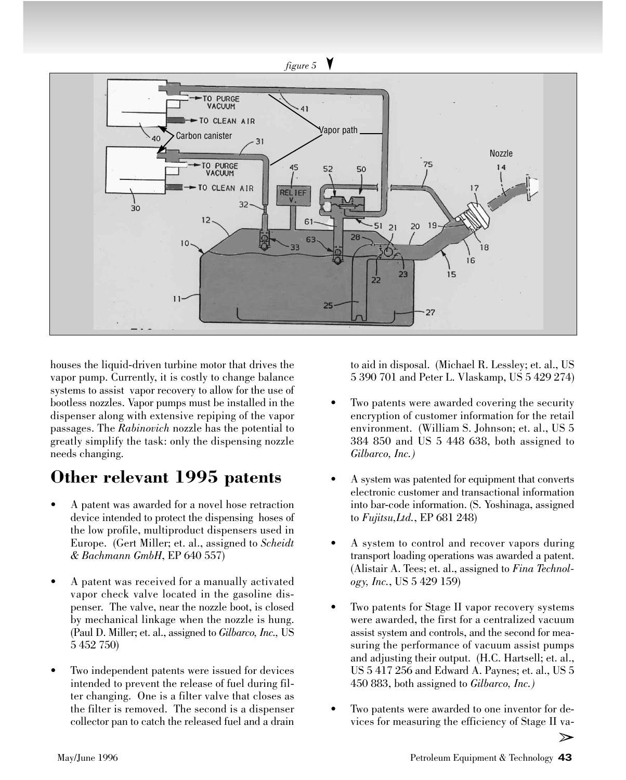

houses the liquid-driven turbine motor that drives the vapor pump. Currently, it is costly to change balance systems to assist vapor recovery to allow for the use of bootless nozzles. Vapor pumps must be installed in the dispenser along with extensive repiping of the vapor passages. The *Rabinovich* nozzle has the potential to greatly simplify the task: only the dispensing nozzle needs changing.

### **Other relevant 1995 patents**

- A patent was awarded for a novel hose retraction device intended to protect the dispensing hoses of the low profile, multiproduct dispensers used in Europe. (Gert Miller; et. al., assigned to *Scheidt & Bachmann GmbH*, EP 640 557)
- A patent was received for a manually activated vapor check valve located in the gasoline dispenser. The valve, near the nozzle boot, is closed by mechanical linkage when the nozzle is hung. (Paul D. Miller; et. al., assigned to *Gilbarco, Inc.,* US 5 452 750)
- Two independent patents were issued for devices intended to prevent the release of fuel during filter changing. One is a filter valve that closes as the filter is removed. The second is a dispenser collector pan to catch the released fuel and a drain

to aid in disposal. (Michael R. Lessley; et. al., US 5 390 701 and Peter L. Vlaskamp, US 5 429 274)

- Two patents were awarded covering the security encryption of customer information for the retail environment. (William S. Johnson; et. al., US 5 384 850 and US 5 448 638, both assigned to *Gilbarco, Inc.)*
- A system was patented for equipment that converts electronic customer and transactional information into bar-code information. (S. Yoshinaga, assigned to *Fujitsu,Ltd.*, EP 681 248)
- A system to control and recover vapors during transport loading operations was awarded a patent. (Alistair A. Tees; et. al., assigned to *Fina Technology, Inc.*, US 5 429 159)
- Two patents for Stage II vapor recovery systems were awarded, the first for a centralized vacuum assist system and controls, and the second for measuring the performance of vacuum assist pumps and adjusting their output. (H.C. Hartsell; et. al., US 5 417 256 and Edward A. Paynes; et. al., US 5 450 883, both assigned to *Gilbarco, Inc.)*
- Two patents were awarded to one inventor for devices for measuring the efficiency of Stage II va-

 $\geq$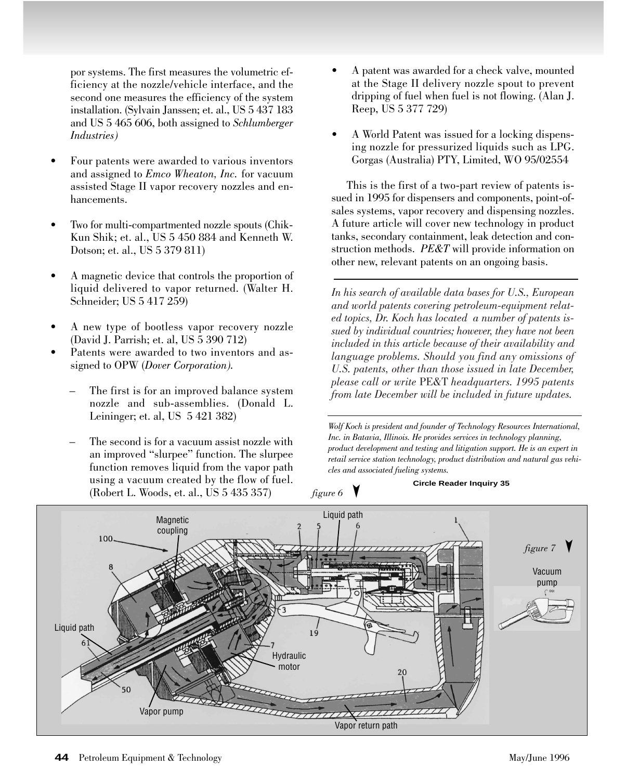por systems. The first measures the volumetric efficiency at the nozzle/vehicle interface, and the second one measures the efficiency of the system installation. (Sylvain Janssen; et. al., US 5 437 183 and US 5 465 606, both assigned to *Schlumberger Industries)* 

- Four patents were awarded to various inventors and assigned to *Emco Wheaton, Inc.* for vacuum assisted Stage II vapor recovery nozzles and enhancements.
- Two for multi-compartmented nozzle spouts (Chik-Kun Shik; et. al., US 5 450 884 and Kenneth W. Dotson; et. al., US 5 379 811)
- A magnetic device that controls the proportion of liquid delivered to vapor returned. (Walter H. Schneider; US 5 417 259)
- A new type of bootless vapor recovery nozzle (David J. Parrish; et. al, US 5 390 712)
- Patents were awarded to two inventors and assigned to OPW (*Dover Corporation).*
	- The first is for an improved balance system nozzle and sub-assemblies. (Donald L. Leininger; et. al, US 5 421 382)
	- The second is for a vacuum assist nozzle with an improved "slurpee" function. The slurpee function removes liquid from the vapor path using a vacuum created by the flow of fuel. (Robert L. Woods, et. al., US 5 435 357)
- A patent was awarded for a check valve, mounted at the Stage II delivery nozzle spout to prevent dripping of fuel when fuel is not flowing. (Alan J. Reep, US 5 377 729)
- A World Patent was issued for a locking dispensing nozzle for pressurized liquids such as LPG. Gorgas (Australia) PTY, Limited, WO 95/02554

This is the first of a two-part review of patents issued in 1995 for dispensers and components, point-ofsales systems, vapor recovery and dispensing nozzles. A future article will cover new technology in product tanks, secondary containment, leak detection and construction methods. *PE&T* will provide information on other new, relevant patents on an ongoing basis.

*In his search of available data bases for U.S., European and world patents covering petroleum-equipment related topics, Dr. Koch has located a number of patents issued by individual countries; however, they have not been included in this article because of their availability and language problems. Should you find any omissions of U.S. patents, other than those issued in late December, please call or write* PE&T *headquarters. 1995 patents from late December will be included in future updates.*

*Wolf Koch is president and founder of Technology Resources International, Inc. in Batavia, Illinois. He provides services in technology planning, product development and testing and litigation support. He is an expert in retail service station technology, product distribution and natural gas vehicles and associated fueling systems.* 

figure 6  $\bigvee$ 

**Circle Reader Inquiry 35**

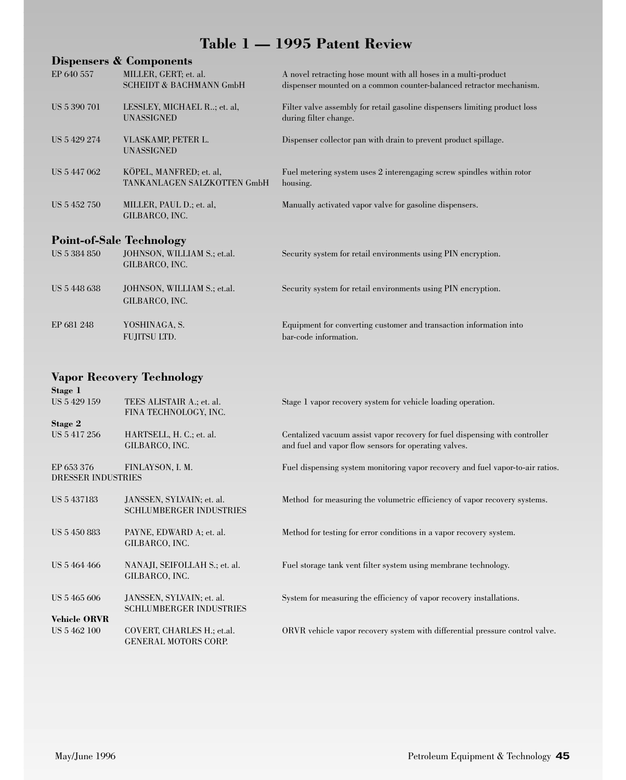#### **Table 1 — 1995 Patent Review**

|                                 | Dispensers & Components                                     |                                                                                                                                        |
|---------------------------------|-------------------------------------------------------------|----------------------------------------------------------------------------------------------------------------------------------------|
| EP 640 557                      | MILLER, GERT; et. al.<br><b>SCHEIDT &amp; BACHMANN GmbH</b> | A novel retracting hose mount with all hoses in a multi-product<br>dispenser mounted on a common counter-balanced retractor mechanism. |
|                                 |                                                             |                                                                                                                                        |
| US 5 390 701                    | LESSLEY, MICHAEL R; et. al,<br><b>UNASSIGNED</b>            | Filter valve assembly for retail gasoline dispensers limiting product loss<br>during filter change.                                    |
| US 5 429 274                    | VLASKAMP, PETER L.<br>UNASSIGNED                            | Dispenser collector pan with drain to prevent product spillage.                                                                        |
| US 5 447 062                    | KÖPEL, MANFRED; et. al.<br>TANKANLAGEN SALZKOTTEN GmbH      | Fuel metering system uses 2 interengaging screw spindles within rotor<br>housing.                                                      |
| US 5 452 750                    | MILLER, PAUL D.; et. al,<br>GILBARCO, INC.                  | Manually activated vapor valve for gasoline dispensers.                                                                                |
|                                 |                                                             |                                                                                                                                        |
| <b>Point-of-Sale Technology</b> |                                                             |                                                                                                                                        |
| US 5 384 850                    | JOHNSON, WILLIAM S.; et.al.<br>GILBARCO, INC.               | Security system for retail environments using PIN encryption.                                                                          |
|                                 |                                                             |                                                                                                                                        |
| US 5 448 638                    | JOHNSON, WILLIAM S.; et.al.<br>GILBARCO, INC.               | Security system for retail environments using PIN encryption.                                                                          |
| EP 681 248                      | YOSHINAGA, S.                                               | Equipment for converting customer and transaction information into                                                                     |
|                                 | <b>FUJITSU LTD.</b>                                         | bar-code information.                                                                                                                  |

#### **Vapor Recovery Technology**

| Stage 1                                 |                                                           |                                                                                                                                      |
|-----------------------------------------|-----------------------------------------------------------|--------------------------------------------------------------------------------------------------------------------------------------|
| US 5 429 159                            | TEES ALISTAIR A.; et. al.<br>FINA TECHNOLOGY, INC.        | Stage 1 vapor recovery system for vehicle loading operation.                                                                         |
| Stage 2                                 |                                                           |                                                                                                                                      |
| US 5 417 256                            | HARTSELL, H. C.; et. al.<br>GILBARCO, INC.                | Centalized vacuum assist vapor recovery for fuel dispensing with controller<br>and fuel and vapor flow sensors for operating valves. |
|                                         |                                                           |                                                                                                                                      |
| EP 653 376<br><b>DRESSER INDUSTRIES</b> | FINLAYSON, I. M.                                          | Fuel dispensing system monitoring vapor recovery and fuel vapor-to-air ratios.                                                       |
|                                         |                                                           |                                                                                                                                      |
| US 5 437183                             | JANSSEN, SYLVAIN; et. al.                                 | Method for measuring the volumetric efficiency of vapor recovery systems.                                                            |
|                                         | <b>SCHLUMBERGER INDUSTRIES</b>                            |                                                                                                                                      |
| US 5 450 883                            | PAYNE, EDWARD A; et. al.                                  | Method for testing for error conditions in a vapor recovery system.                                                                  |
|                                         | GILBARCO, INC.                                            |                                                                                                                                      |
| US 5 464 466                            | NANAJI, SEIFOLLAH S.; et. al.                             | Fuel storage tank vent filter system using membrane technology.                                                                      |
|                                         | GILBARCO, INC.                                            |                                                                                                                                      |
|                                         |                                                           |                                                                                                                                      |
| US 5 465 606                            | JANSSEN, SYLVAIN; et. al.                                 | System for measuring the efficiency of vapor recovery installations.                                                                 |
|                                         | <b>SCHLUMBERGER INDUSTRIES</b>                            |                                                                                                                                      |
| <b>Vehicle ORVR</b>                     |                                                           |                                                                                                                                      |
| US 5 462 100                            | COVERT, CHARLES H.; et.al.<br><b>GENERAL MOTORS CORP.</b> | ORVR vehicle vapor recovery system with differential pressure control valve.                                                         |
|                                         |                                                           |                                                                                                                                      |